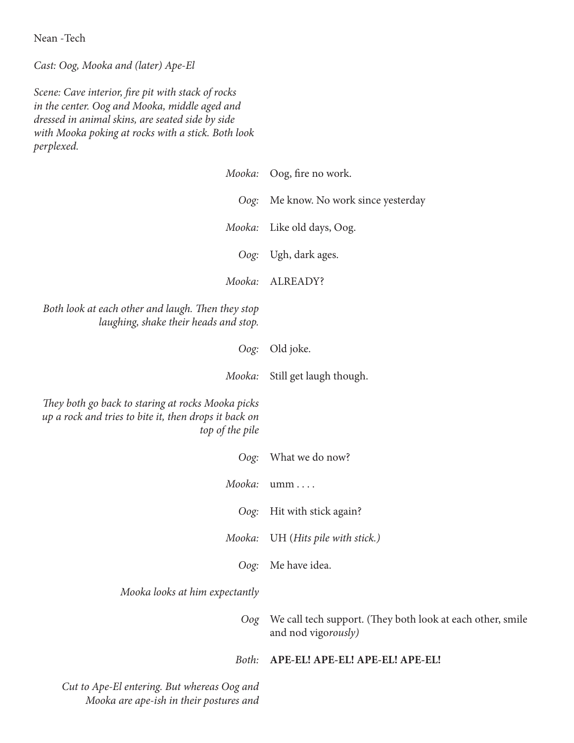Nean -Tech

*Cast: Oog, Mooka and (later) Ape-El*

*Scene: Cave interior, fire pit with stack of rocks in the center. Oog and Mooka, middle aged and dressed in animal skins, are seated side by side with Mooka poking at rocks with a stick. Both look perplexed.*

| Mooka:                                                                                                                        | Oog, fire no work.                                                                |
|-------------------------------------------------------------------------------------------------------------------------------|-----------------------------------------------------------------------------------|
| Oog:                                                                                                                          | Me know. No work since yesterday                                                  |
| Mooka:                                                                                                                        | Like old days, Oog.                                                               |
| Oog:                                                                                                                          | Ugh, dark ages.                                                                   |
| Mooka:                                                                                                                        | ALREADY?                                                                          |
| Both look at each other and laugh. Then they stop<br>laughing, shake their heads and stop.                                    |                                                                                   |
| Oog:                                                                                                                          | Old joke.                                                                         |
| Mooka:                                                                                                                        | Still get laugh though.                                                           |
| They both go back to staring at rocks Mooka picks<br>up a rock and tries to bite it, then drops it back on<br>top of the pile |                                                                                   |
| Oog:                                                                                                                          | What we do now?                                                                   |
| Mooka:                                                                                                                        | umm                                                                               |
| Oog:                                                                                                                          | Hit with stick again?                                                             |
| Mooka:                                                                                                                        | UH (Hits pile with stick.)                                                        |
| Oog:                                                                                                                          | Me have idea.                                                                     |
| Mooka looks at him expectantly                                                                                                |                                                                                   |
| Oog                                                                                                                           | We call tech support. (They both look at each other, smile<br>and nod vigorously) |
| Both:                                                                                                                         | APE-EL! APE-EL! APE-EL! APE-EL!                                                   |
| Cut to Ape-El entering. But whereas Oog and<br>Mooka are ape-ish in their postures and                                        |                                                                                   |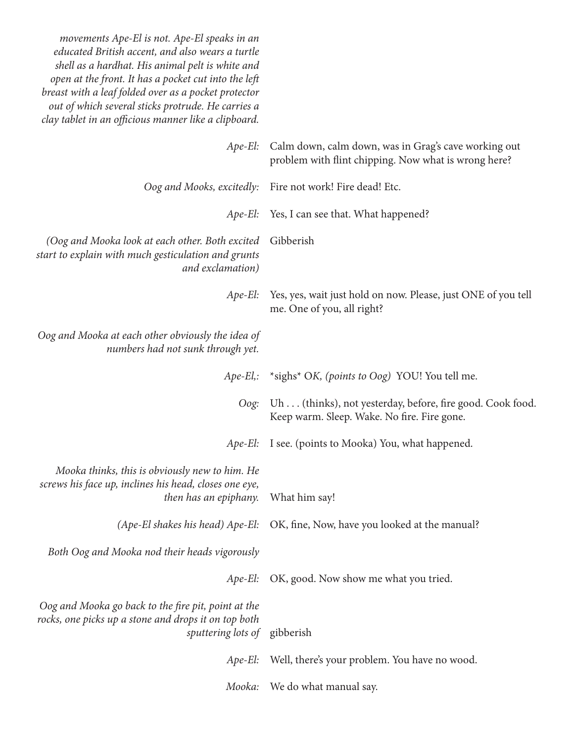| movements Ape-El is not. Ape-El speaks in an<br>educated British accent, and also wears a turtle<br>shell as a hardhat. His animal pelt is white and<br>open at the front. It has a pocket cut into the left<br>breast with a leaf folded over as a pocket protector<br>out of which several sticks protrude. He carries a<br>clay tablet in an officious manner like a clipboard. |                                                                                                              |
|------------------------------------------------------------------------------------------------------------------------------------------------------------------------------------------------------------------------------------------------------------------------------------------------------------------------------------------------------------------------------------|--------------------------------------------------------------------------------------------------------------|
| $Ape-El:$                                                                                                                                                                                                                                                                                                                                                                          | Calm down, calm down, was in Grag's cave working out<br>problem with flint chipping. Now what is wrong here? |
|                                                                                                                                                                                                                                                                                                                                                                                    | Oog and Mooks, excitedly: Fire not work! Fire dead! Etc.                                                     |
|                                                                                                                                                                                                                                                                                                                                                                                    | Ape-El: Yes, I can see that. What happened?                                                                  |
| (Oog and Mooka look at each other. Both excited<br>start to explain with much gesticulation and grunts<br>and exclamation)                                                                                                                                                                                                                                                         | Gibberish                                                                                                    |
| Ape-El:                                                                                                                                                                                                                                                                                                                                                                            | Yes, yes, wait just hold on now. Please, just ONE of you tell<br>me. One of you, all right?                  |
| Oog and Mooka at each other obviously the idea of<br>numbers had not sunk through yet.                                                                                                                                                                                                                                                                                             |                                                                                                              |
|                                                                                                                                                                                                                                                                                                                                                                                    | Ape-El,: *sighs* OK, (points to Oog) YOU! You tell me.                                                       |
| Oog:                                                                                                                                                                                                                                                                                                                                                                               | Uh (thinks), not yesterday, before, fire good. Cook food.<br>Keep warm. Sleep. Wake. No fire. Fire gone.     |
| $Ape-El$ :                                                                                                                                                                                                                                                                                                                                                                         | I see. (points to Mooka) You, what happened.                                                                 |
| Mooka thinks, this is obviously new to him. He<br>screws his face up, inclines his head, closes one eye,<br>then has an epiphany.                                                                                                                                                                                                                                                  | What him say!                                                                                                |
| (Ape-El shakes his head) Ape-El:                                                                                                                                                                                                                                                                                                                                                   | OK, fine, Now, have you looked at the manual?                                                                |
| Both Oog and Mooka nod their heads vigorously                                                                                                                                                                                                                                                                                                                                      |                                                                                                              |
| $Ape-El$ :                                                                                                                                                                                                                                                                                                                                                                         | OK, good. Now show me what you tried.                                                                        |
| Oog and Mooka go back to the fire pit, point at the<br>rocks, one picks up a stone and drops it on top both<br><i>sputtering lots of</i> gibberish                                                                                                                                                                                                                                 |                                                                                                              |
| $Ape-El:$                                                                                                                                                                                                                                                                                                                                                                          | Well, there's your problem. You have no wood.                                                                |
| Mooka:                                                                                                                                                                                                                                                                                                                                                                             | We do what manual say.                                                                                       |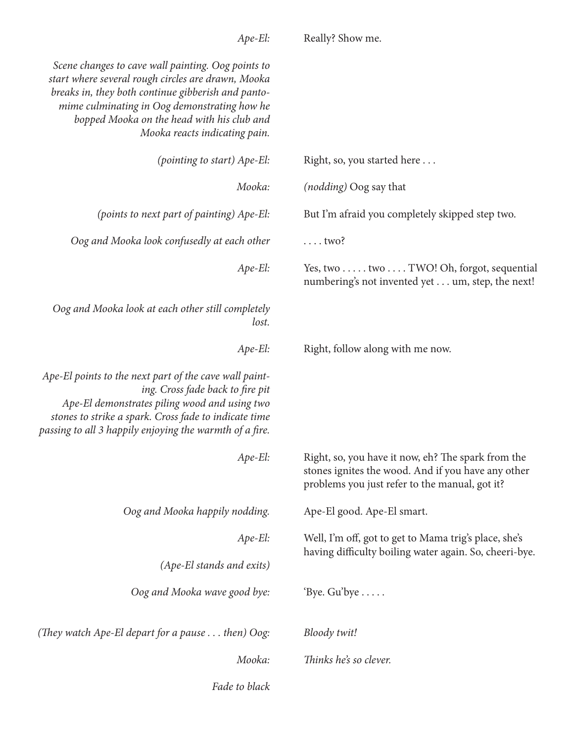| Scene changes to cave wall painting. Oog points to<br>start where several rough circles are drawn, Mooka<br>breaks in, they both continue gibberish and panto-<br>mime culminating in Oog demonstrating how he<br>bopped Mooka on the head with his club and<br>Mooka reacts indicating pain. |                                                                                                                                                            |
|-----------------------------------------------------------------------------------------------------------------------------------------------------------------------------------------------------------------------------------------------------------------------------------------------|------------------------------------------------------------------------------------------------------------------------------------------------------------|
| (pointing to start) Ape-El:                                                                                                                                                                                                                                                                   | Right, so, you started here                                                                                                                                |
| Mooka:                                                                                                                                                                                                                                                                                        | ( <i>nodding</i> ) Oog say that                                                                                                                            |
| (points to next part of painting) Ape-El:                                                                                                                                                                                                                                                     | But I'm afraid you completely skipped step two.                                                                                                            |
| Oog and Mooka look confusedly at each other                                                                                                                                                                                                                                                   | $\ldots$ two?                                                                                                                                              |
| $Ape$ -El:                                                                                                                                                                                                                                                                                    | Yes, two two TWO! Oh, forgot, sequential<br>numbering's not invented yet um, step, the next!                                                               |
| Oog and Mooka look at each other still completely<br>lost.                                                                                                                                                                                                                                    |                                                                                                                                                            |
| $Ape-El:$                                                                                                                                                                                                                                                                                     | Right, follow along with me now.                                                                                                                           |
| Ape-El points to the next part of the cave wall paint-<br>ing. Cross fade back to fire pit<br>Ape-El demonstrates piling wood and using two<br>stones to strike a spark. Cross fade to indicate time<br>passing to all 3 happily enjoying the warmth of a fire.                               |                                                                                                                                                            |
| Ape-El:                                                                                                                                                                                                                                                                                       | Right, so, you have it now, eh? The spark from the<br>stones ignites the wood. And if you have any other<br>problems you just refer to the manual, got it? |
| Oog and Mooka happily nodding.                                                                                                                                                                                                                                                                | Ape-El good. Ape-El smart.                                                                                                                                 |
| $Ape-El:$                                                                                                                                                                                                                                                                                     | Well, I'm off, got to get to Mama trig's place, she's                                                                                                      |
| (Ape-El stands and exits)                                                                                                                                                                                                                                                                     | having difficulty boiling water again. So, cheeri-bye.                                                                                                     |
| Oog and Mooka wave good bye:                                                                                                                                                                                                                                                                  | 'Bye. Gu'bye $\dots$ .                                                                                                                                     |
| (They watch Ape-El depart for a pause $\dots$ then) Oog:                                                                                                                                                                                                                                      | Bloody twit!                                                                                                                                               |
| Mooka:                                                                                                                                                                                                                                                                                        | Thinks he's so clever.                                                                                                                                     |
| Fade to black                                                                                                                                                                                                                                                                                 |                                                                                                                                                            |